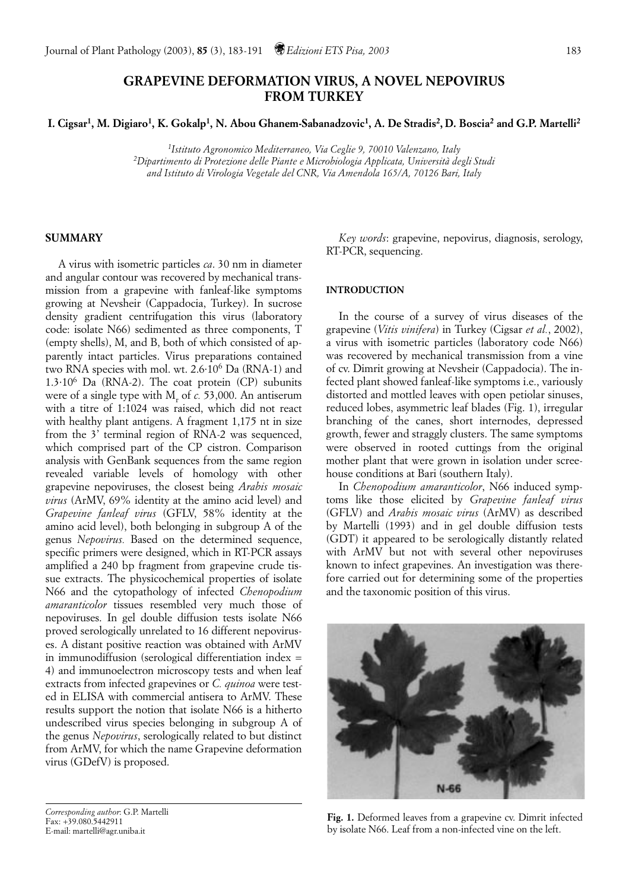# **GRAPEVINE DEFORMATION VIRUS, A NOVEL NEPOVIRUS FROM TURKEY**

**I. Cigsar1, M. Digiaro1, K. Gokalp1, N. Abou Ghanem-Sabanadzovic1, A. De Stradis2, D. Boscia2 and G.P. Martelli2**

*1Istituto Agronomico Mediterraneo, Via Ceglie 9, 70010 Valenzano, Italy 2Dipartimento di Protezione delle Piante e Microbiologia Applicata, Università degli Studi and Istituto di Virologia Vegetale del CNR, Via Amendola 165/A, 70126 Bari, Italy*

# **SUMMARY**

A virus with isometric particles *ca*. 30 nm in diameter and angular contour was recovered by mechanical transmission from a grapevine with fanleaf-like symptoms growing at Nevsheir (Cappadocia, Turkey). In sucrose density gradient centrifugation this virus (laboratory code: isolate N66) sedimented as three components, T (empty shells), M, and B, both of which consisted of apparently intact particles. Virus preparations contained two RNA species with mol. wt. 2.6·106 Da (RNA-1) and  $1.3\cdot10^6$  Da (RNA-2). The coat protein (CP) subunits were of a single type with M<sub>r</sub> of *c*. 53,000. An antiserum with a titre of 1:1024 was raised, which did not react with healthy plant antigens. A fragment 1,175 nt in size from the 3' terminal region of RNA-2 was sequenced, which comprised part of the CP cistron. Comparison analysis with GenBank sequences from the same region revealed variable levels of homology with other grapevine nepoviruses, the closest being *Arabis mosaic virus* (ArMV, 69% identity at the amino acid level) and *Grapevine fanleaf virus* (GFLV, 58% identity at the amino acid level), both belonging in subgroup A of the genus *Nepovirus.* Based on the determined sequence, specific primers were designed, which in RT-PCR assays amplified a 240 bp fragment from grapevine crude tissue extracts. The physicochemical properties of isolate N66 and the cytopathology of infected *Chenopodium amaranticolor* tissues resembled very much those of nepoviruses. In gel double diffusion tests isolate N66 proved serologically unrelated to 16 different nepoviruses. A distant positive reaction was obtained with ArMV in immunodiffusion (serological differentiation index = 4) and immunoelectron microscopy tests and when leaf extracts from infected grapevines or *C. quinoa* were tested in ELISA with commercial antisera to ArMV. These results support the notion that isolate N66 is a hitherto undescribed virus species belonging in subgroup A of the genus *Nepovirus*, serologically related to but distinct from ArMV, for which the name Grapevine deformation virus (GDefV) is proposed.

*Corresponding author*: G.P. Martelli Fax: +39.080.5442911 E-mail: martelli@agr.uniba.it

*Key words*: grapevine, nepovirus, diagnosis, serology, RT-PCR, sequencing.

## **INTRODUCTION**

In the course of a survey of virus diseases of the grapevine (*Vitis vinifera*) in Turkey (Cigsar *et al.*, 2002), a virus with isometric particles (laboratory code N66) was recovered by mechanical transmission from a vine of cv. Dimrit growing at Nevsheir (Cappadocia). The infected plant showed fanleaf-like symptoms i.e., variously distorted and mottled leaves with open petiolar sinuses, reduced lobes, asymmetric leaf blades (Fig. 1), irregular branching of the canes, short internodes, depressed growth, fewer and straggly clusters. The same symptoms were observed in rooted cuttings from the original mother plant that were grown in isolation under screehouse conditions at Bari (southern Italy).

In *Chenopodium amaranticolor*, N66 induced symptoms like those elicited by *Grapevine fanleaf virus* (GFLV) and *Arabis mosaic virus* (ArMV) as described by Martelli (1993) and in gel double diffusion tests (GDT) it appeared to be serologically distantly related with ArMV but not with several other nepoviruses known to infect grapevines. An investigation was therefore carried out for determining some of the properties and the taxonomic position of this virus.



**Fig. 1.** Deformed leaves from a grapevine cv. Dimrit infected by isolate N66. Leaf from a non-infected vine on the left.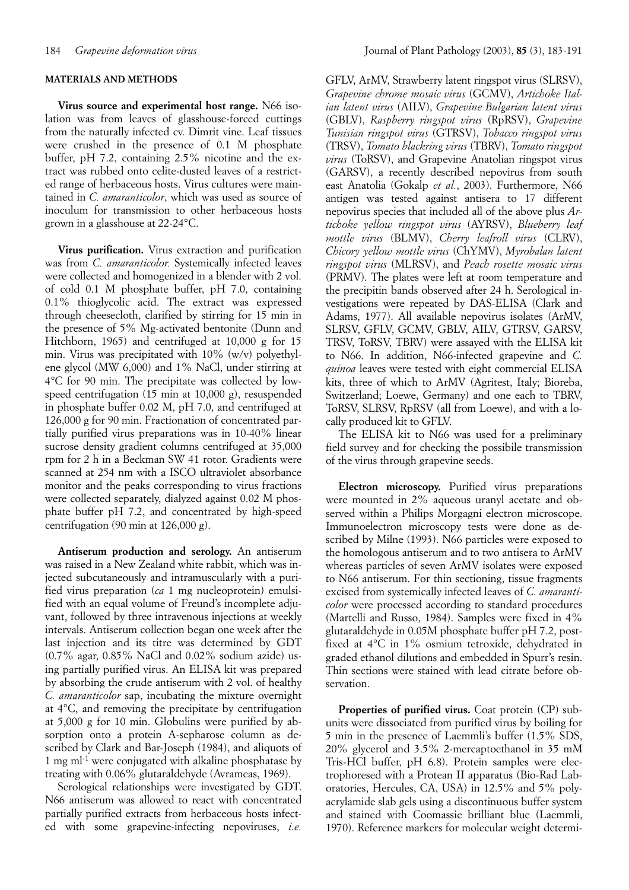#### **MATERIALS AND METHODS**

**Virus source and experimental host range.** N66 isolation was from leaves of glasshouse-forced cuttings from the naturally infected cv. Dimrit vine. Leaf tissues were crushed in the presence of 0.1 M phosphate buffer, pH 7.2, containing 2.5% nicotine and the extract was rubbed onto celite-dusted leaves of a restricted range of herbaceous hosts. Virus cultures were maintained in *C. amaranticolor*, which was used as source of inoculum for transmission to other herbaceous hosts grown in a glasshouse at 22-24°C.

**Virus purification.** Virus extraction and purification was from *C. amaranticolor.* Systemically infected leaves were collected and homogenized in a blender with 2 vol. of cold 0.1 M phosphate buffer, pH 7.0, containing 0.1% thioglycolic acid. The extract was expressed through cheesecloth, clarified by stirring for 15 min in the presence of 5% Mg-activated bentonite (Dunn and Hitchborn, 1965) and centrifuged at 10,000 g for 15 min. Virus was precipitated with 10% (w/v) polyethylene glycol (MW 6,000) and 1% NaCl, under stirring at 4°C for 90 min. The precipitate was collected by lowspeed centrifugation (15 min at 10,000 g), resuspended in phosphate buffer 0.02 M, pH 7.0, and centrifuged at 126,000 g for 90 min. Fractionation of concentrated partially purified virus preparations was in 10-40% linear sucrose density gradient columns centrifuged at 35,000 rpm for 2 h in a Beckman SW 41 rotor. Gradients were scanned at 254 nm with a ISCO ultraviolet absorbance monitor and the peaks corresponding to virus fractions were collected separately, dialyzed against 0.02 M phosphate buffer pH 7.2, and concentrated by high-speed centrifugation (90 min at 126,000 g).

**Antiserum production and serology.** An antiserum was raised in a New Zealand white rabbit, which was injected subcutaneously and intramuscularly with a purified virus preparation (*ca* 1 mg nucleoprotein) emulsified with an equal volume of Freund's incomplete adjuvant, followed by three intravenous injections at weekly intervals. Antiserum collection began one week after the last injection and its titre was determined by GDT (0.7% agar, 0.85% NaCl and 0.02% sodium azide) using partially purified virus. An ELISA kit was prepared by absorbing the crude antiserum with 2 vol. of healthy *C. amaranticolor* sap, incubating the mixture overnight at 4°C, and removing the precipitate by centrifugation at 5,000 g for 10 min. Globulins were purified by absorption onto a protein A-sepharose column as described by Clark and Bar-Joseph (1984), and aliquots of 1 mg ml-1 were conjugated with alkaline phosphatase by treating with 0.06% glutaraldehyde (Avrameas, 1969).

Serological relationships were investigated by GDT. N66 antiserum was allowed to react with concentrated partially purified extracts from herbaceous hosts infected with some grapevine-infecting nepoviruses, *i.e.* GFLV, ArMV, Strawberry latent ringspot virus (SLRSV), *Grapevine chrome mosaic virus* (GCMV), *Artichoke Italian latent virus* (AILV), *Grapevine Bulgarian latent virus* (GBLV), *Raspberry ringspot virus* (RpRSV), *Grapevine Tunisian ringspot virus* (GTRSV), *Tobacco ringspot virus* (TRSV), *Tomato blackring virus* (TBRV), *Tomato ringspot virus* (ToRSV), and Grapevine Anatolian ringspot virus (GARSV), a recently described nepovirus from south east Anatolia (Gokalp *et al.*, 2003). Furthermore, N66 antigen was tested against antisera to 17 different nepovirus species that included all of the above plus *Artichoke yellow ringspot virus* (AYRSV), *Blueberry leaf mottle virus* (BLMV), *Cherry leafroll virus* (CLRV), *Chicory yellow mottle virus* (ChYMV), *Myrobalan latent ringspot virus* (MLRSV), and *Peach rosette mosaic virus* (PRMV). The plates were left at room temperature and the precipitin bands observed after 24 h. Serological investigations were repeated by DAS-ELISA (Clark and Adams, 1977). All available nepovirus isolates (ArMV, SLRSV, GFLV, GCMV, GBLV, AILV, GTRSV, GARSV, TRSV, ToRSV, TBRV) were assayed with the ELISA kit to N66. In addition, N66-infected grapevine and *C. quinoa* leaves were tested with eight commercial ELISA kits, three of which to ArMV (Agritest, Italy; Bioreba, Switzerland; Loewe, Germany) and one each to TBRV, ToRSV, SLRSV, RpRSV (all from Loewe), and with a locally produced kit to GFLV.

The ELISA kit to N66 was used for a preliminary field survey and for checking the possibile transmission of the virus through grapevine seeds.

**Electron microscopy.** Purified virus preparations were mounted in 2% aqueous uranyl acetate and observed within a Philips Morgagni electron microscope. Immunoelectron microscopy tests were done as described by Milne (1993). N66 particles were exposed to the homologous antiserum and to two antisera to ArMV whereas particles of seven ArMV isolates were exposed to N66 antiserum. For thin sectioning, tissue fragments excised from systemically infected leaves of *C. amaranticolor* were processed according to standard procedures (Martelli and Russo, 1984). Samples were fixed in 4% glutaraldehyde in 0.05M phosphate buffer pH 7.2, postfixed at 4°C in 1% osmium tetroxide, dehydrated in graded ethanol dilutions and embedded in Spurr's resin. Thin sections were stained with lead citrate before observation.

Properties of purified virus. Coat protein (CP) subunits were dissociated from purified virus by boiling for 5 min in the presence of Laemmli's buffer (1.5% SDS, 20% glycerol and 3.5% 2-mercaptoethanol in 35 mM Tris-HCl buffer, pH 6.8). Protein samples were electrophoresed with a Protean II apparatus (Bio-Rad Laboratories, Hercules, CA, USA) in 12.5% and 5% polyacrylamide slab gels using a discontinuous buffer system and stained with Coomassie brilliant blue (Laemmli, 1970). Reference markers for molecular weight determi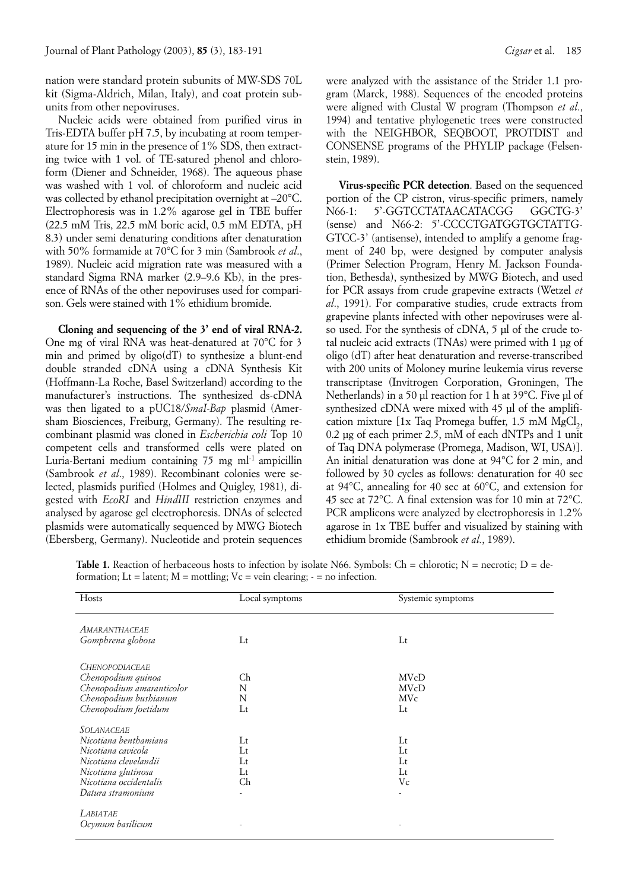nation were standard protein subunits of MW-SDS 70L kit (Sigma-Aldrich, Milan, Italy), and coat protein subunits from other nepoviruses.

Nucleic acids were obtained from purified virus in Tris-EDTA buffer pH 7.5, by incubating at room temperature for 15 min in the presence of 1% SDS, then extracting twice with 1 vol. of TE-satured phenol and chloroform (Diener and Schneider, 1968). The aqueous phase was washed with 1 vol. of chloroform and nucleic acid was collected by ethanol precipitation overnight at –20°C. Electrophoresis was in 1.2% agarose gel in TBE buffer (22.5 mM Tris, 22.5 mM boric acid, 0.5 mM EDTA, pH 8.3) under semi denaturing conditions after denaturation with 50% formamide at 70°C for 3 min (Sambrook *et al*., 1989). Nucleic acid migration rate was measured with a standard Sigma RNA marker (2.9–9.6 Kb), in the presence of RNAs of the other nepoviruses used for comparison. Gels were stained with 1% ethidium bromide.

**Cloning and sequencing of the 3' end of viral RNA-2.** One mg of viral RNA was heat-denatured at 70°C for 3 min and primed by oligo(dT) to synthesize a blunt-end double stranded cDNA using a cDNA Synthesis Kit (Hoffmann-La Roche, Basel Switzerland) according to the manufacturer's instructions. The synthesized ds-cDNA was then ligated to a pUC18/*SmaI-Bap* plasmid (Amersham Biosciences, Freiburg, Germany). The resulting recombinant plasmid was cloned in *Escherichia coli* Top 10 competent cells and transformed cells were plated on Luria-Bertani medium containing 75 mg ml<sup>-1</sup> ampicillin (Sambrook *et al*., 1989). Recombinant colonies were selected, plasmids purified (Holmes and Quigley, 1981), digested with *EcoRI* and *HindIII* restriction enzymes and analysed by agarose gel electrophoresis. DNAs of selected plasmids were automatically sequenced by MWG Biotech (Ebersberg, Germany). Nucleotide and protein sequences

were analyzed with the assistance of the Strider 1.1 program (Marck, 1988). Sequences of the encoded proteins were aligned with Clustal W program (Thompson *et al*., 1994) and tentative phylogenetic trees were constructed with the NEIGHBOR, SEQBOOT, PROTDIST and CONSENSE programs of the PHYLIP package (Felsenstein, 1989).

**Virus-specific PCR detection**. Based on the sequenced portion of the CP cistron, virus-specific primers, namely N66-1: 5'-GGTCCTATAACATACGG GGCTG-3' (sense) and N66-2: 5'-CCCCTGATGGTGCTATTG-GTCC-3' (antisense), intended to amplify a genome fragment of 240 bp, were designed by computer analysis (Primer Selection Program, Henry M. Jackson Foundation, Bethesda), synthesized by MWG Biotech, and used for PCR assays from crude grapevine extracts (Wetzel *et al*., 1991). For comparative studies, crude extracts from grapevine plants infected with other nepoviruses were also used. For the synthesis of cDNA, 5 µl of the crude total nucleic acid extracts (TNAs) were primed with 1 µg of oligo (dT) after heat denaturation and reverse-transcribed with 200 units of Moloney murine leukemia virus reverse transcriptase (Invitrogen Corporation, Groningen, The Netherlands) in a 50 µl reaction for 1 h at 39°C. Five µl of synthesized cDNA were mixed with 45 µl of the amplification mixture  $[1x$  Taq Promega buffer, 1.5 mM MgCl<sub>2</sub>, 0.2 µg of each primer 2.5, mM of each dNTPs and 1 unit of Taq DNA polymerase (Promega, Madison, WI, USA)]. An initial denaturation was done at 94°C for 2 min, and followed by 30 cycles as follows: denaturation for 40 sec at 94°C, annealing for 40 sec at 60°C, and extension for 45 sec at 72°C. A final extension was for 10 min at 72°C. PCR amplicons were analyzed by electrophoresis in 1.2% agarose in 1x TBE buffer and visualized by staining with ethidium bromide (Sambrook *et al.*, 1989).

**Table 1.** Reaction of herbaceous hosts to infection by isolate N66. Symbols: Ch = chlorotic; N = necrotic; D = deformation; Lt = latent;  $M =$  mottling;  $Vc =$  vein clearing;  $-$  = no infection.

| Hosts                     | Local symptoms | Systemic symptoms |  |
|---------------------------|----------------|-------------------|--|
| AMARANTHACEAE             |                |                   |  |
| Gomphrena globosa         | $_{\rm Lt}$    | $_{\rm Lt}$       |  |
| <b>CHENOPODIACEAE</b>     |                |                   |  |
| Chenopodium quinoa        | Ch             | <b>MVcD</b>       |  |
| Chenopodium amaranticolor | N              | <b>MVcD</b>       |  |
| Chenopodium bushianum     | N              | <b>MVc</b>        |  |
| Chenopodium foetidum      | Lt             | Lt                |  |
| <b>SOLANACEAE</b>         |                |                   |  |
| Nicotiana benthamiana     | $_{\rm Lt}$    | $_{\rm Lt}$       |  |
| Nicotiana cavicola        | $_{\rm Lt}$    | $_{\rm Lt}$       |  |
| Nicotiana clevelandii     | Lt             | Lt                |  |
| Nicotiana glutinosa       | Lt             | Lt                |  |
| Nicotiana occidentalis    | Ch             | Vc                |  |
| Datura stramonium         | ٠              |                   |  |
| LABIATAE                  |                |                   |  |
| Ocymum basilicum          |                |                   |  |
|                           |                |                   |  |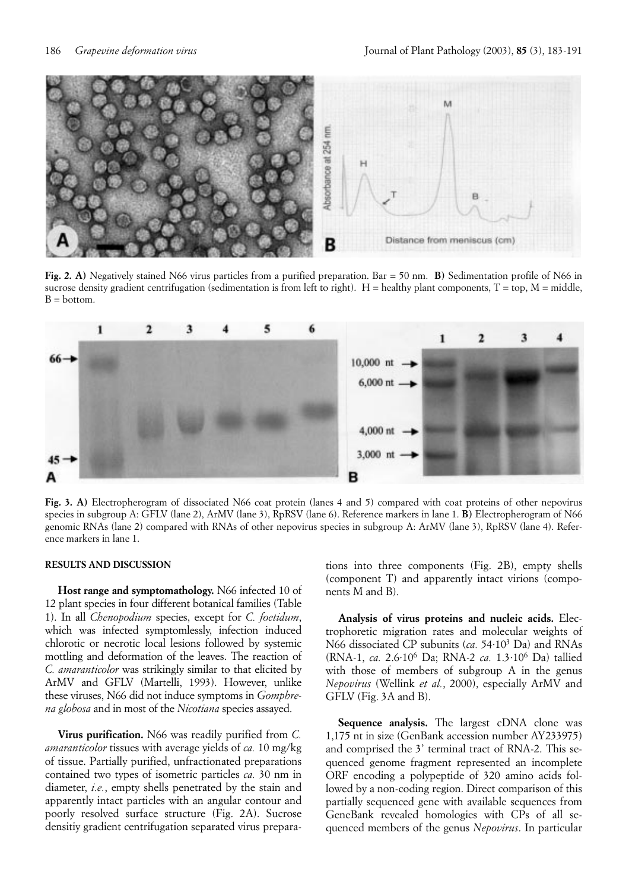

**Fig. 2. A)** Negatively stained N66 virus particles from a purified preparation. Bar = 50 nm. **B)** Sedimentation profile of N66 in sucrose density gradient centrifugation (sedimentation is from left to right). H = healthy plant components,  $T = top$ ,  $M = midde$ ,  $B = bottom$ .



**Fig. 3. A)** Electropherogram of dissociated N66 coat protein (lanes 4 and 5) compared with coat proteins of other nepovirus species in subgroup A: GFLV (lane 2), ArMV (lane 3), RpRSV (lane 6). Reference markers in lane 1. **B)** Electropherogram of N66 genomic RNAs (lane 2) compared with RNAs of other nepovirus species in subgroup A: ArMV (lane 3), RpRSV (lane 4). Reference markers in lane 1.

# **RESULTS AND DISCUSSION**

**Host range and symptomathology.** N66 infected 10 of 12 plant species in four different botanical families (Table 1). In all *Chenopodium* species, except for *C. foetidum*, which was infected symptomlessly, infection induced chlorotic or necrotic local lesions followed by systemic mottling and deformation of the leaves. The reaction of *C. amaranticolor* was strikingly similar to that elicited by ArMV and GFLV (Martelli, 1993). However, unlike these viruses, N66 did not induce symptoms in *Gomphrena globosa* and in most of the *Nicotiana* species assayed.

**Virus purification.** N66 was readily purified from *C. amaranticolor* tissues with average yields of *ca.* 10 mg/kg of tissue. Partially purified, unfractionated preparations contained two types of isometric particles *ca.* 30 nm in diameter, *i.e.*, empty shells penetrated by the stain and apparently intact particles with an angular contour and poorly resolved surface structure (Fig. 2A). Sucrose densitiy gradient centrifugation separated virus preparations into three components (Fig. 2B), empty shells (component T) and apparently intact virions (components M and B).

**Analysis of virus proteins and nucleic acids.** Electrophoretic migration rates and molecular weights of N66 dissociated CP subunits (*ca.* 54·103 Da) and RNAs (RNA-1, *ca.* 2.6·106 Da; RNA-2 *ca.* 1.3·106 Da) tallied with those of members of subgroup A in the genus *Nepovirus* (Wellink *et al.*, 2000), especially ArMV and GFLV (Fig. 3A and B).

**Sequence analysis.** The largest cDNA clone was 1,175 nt in size (GenBank accession number AY233975) and comprised the 3' terminal tract of RNA-2. This sequenced genome fragment represented an incomplete ORF encoding a polypeptide of 320 amino acids followed by a non-coding region. Direct comparison of this partially sequenced gene with available sequences from GeneBank revealed homologies with CPs of all sequenced members of the genus *Nepovirus*. In particular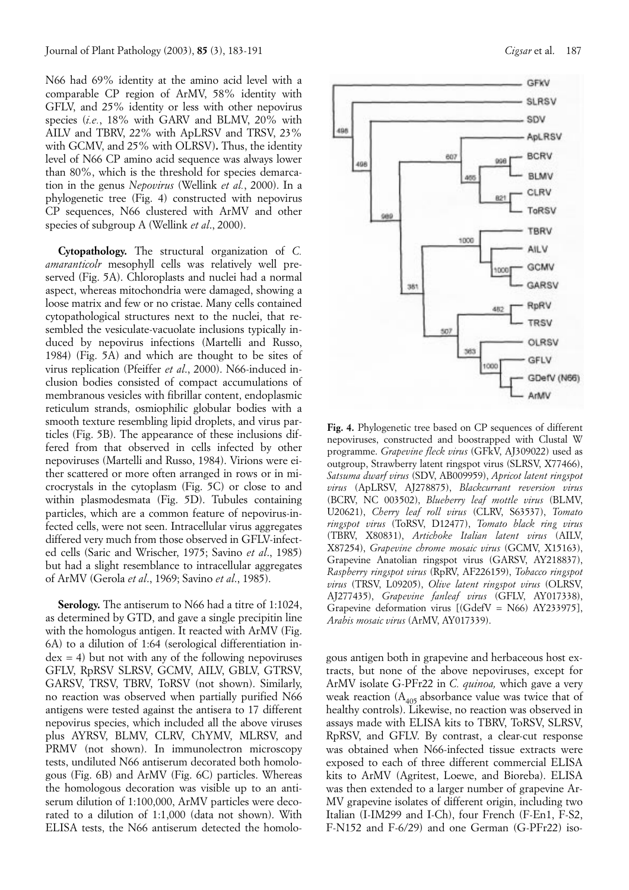N66 had 69% identity at the amino acid level with a comparable CP region of ArMV, 58% identity with GFLV, and 25% identity or less with other nepovirus species (*i.e.*, 18% with GARV and BLMV, 20% with AILV and TBRV, 22% with ApLRSV and TRSV, 23% with GCMV, and 25% with OLRSV)**.** Thus, the identity level of N66 CP amino acid sequence was always lower than 80%, which is the threshold for species demarcation in the genus *Nepovirus* (Wellink *et al.*, 2000). In a phylogenetic tree (Fig. 4) constructed with nepovirus CP sequences, N66 clustered with ArMV and other species of subgroup A (Wellink *et al*., 2000).

**Cytopathology.** The structural organization of *C. amaranticolr* mesophyll cells was relatively well preserved (Fig. 5A). Chloroplasts and nuclei had a normal aspect, whereas mitochondria were damaged, showing a loose matrix and few or no cristae. Many cells contained cytopathological structures next to the nuclei, that resembled the vesiculate-vacuolate inclusions typically induced by nepovirus infections (Martelli and Russo, 1984) (Fig. 5A) and which are thought to be sites of virus replication (Pfeiffer *et al*., 2000). N66-induced inclusion bodies consisted of compact accumulations of membranous vesicles with fibrillar content, endoplasmic reticulum strands, osmiophilic globular bodies with a smooth texture resembling lipid droplets, and virus particles (Fig. 5B). The appearance of these inclusions differed from that observed in cells infected by other nepoviruses (Martelli and Russo, 1984). Virions were either scattered or more often arranged in rows or in microcrystals in the cytoplasm (Fig. 5C) or close to and within plasmodesmata (Fig. 5D). Tubules containing particles, which are a common feature of nepovirus-infected cells, were not seen. Intracellular virus aggregates differed very much from those observed in GFLV-infected cells (Saric and Wrischer, 1975; Savino *et al*., 1985) but had a slight resemblance to intracellular aggregates of ArMV (Gerola *et al*., 1969; Savino *et al*., 1985).

**Serology.** The antiserum to N66 had a titre of 1:1024, as determined by GTD, and gave a single precipitin line with the homologus antigen. It reacted with ArMV (Fig. 6A) to a dilution of 1:64 (serological differentiation in $dex = 4$ ) but not with any of the following nepoviruses GFLV, RpRSV SLRSV, GCMV, AILV, GBLV, GTRSV, GARSV, TRSV, TBRV, ToRSV (not shown). Similarly, no reaction was observed when partially purified N66 antigens were tested against the antisera to 17 different nepovirus species, which included all the above viruses plus AYRSV, BLMV, CLRV, ChYMV, MLRSV, and PRMV (not shown). In immunolectron microscopy tests, undiluted N66 antiserum decorated both homologous (Fig. 6B) and ArMV (Fig. 6C) particles. Whereas the homologous decoration was visible up to an antiserum dilution of 1:100,000, ArMV particles were decorated to a dilution of 1:1,000 (data not shown). With ELISA tests, the N66 antiserum detected the homolo-



**Fig. 4.** Phylogenetic tree based on CP sequences of different nepoviruses, constructed and boostrapped with Clustal W programme. *Grapevine fleck virus* (GFkV, AJ309022) used as outgroup, Strawberry latent ringspot virus (SLRSV, X77466), *Satsuma dwarf virus* (SDV, AB009959), *Apricot latent ringspot virus* (ApLRSV, AJ278875), *Blackcurrant reversion virus* (BCRV, NC 003502), *Blueberry leaf mottle virus* (BLMV, U20621), *Cherry leaf roll virus* (CLRV, S63537), *Tomato ringspot virus* (ToRSV, D12477), *Tomato black ring virus* (TBRV, X80831), *Artichoke Italian latent virus* (AILV, X87254), *Grapevine chrome mosaic virus* (GCMV, X15163), Grapevine Anatolian ringspot virus (GARSV, AY218837), *Raspberry ringspot virus* (RpRV, AF226159), *Tobacco ringspot virus* (TRSV, L09205), *Olive latent ringspot virus* (OLRSV, AJ277435), *Grapevine fanleaf virus* (GFLV, AY017338), Grapevine deformation virus [(GdefV = N66) AY233975], *Arabis mosaic virus* (ArMV, AY017339).

gous antigen both in grapevine and herbaceous host extracts, but none of the above nepoviruses, except for ArMV isolate G-PFr22 in *C. quinoa,* which gave a very weak reaction  $(A_{405}$  absorbance value was twice that of healthy controls). Likewise, no reaction was observed in assays made with ELISA kits to TBRV, ToRSV, SLRSV, RpRSV, and GFLV. By contrast, a clear-cut response was obtained when N66-infected tissue extracts were exposed to each of three different commercial ELISA kits to ArMV (Agritest, Loewe, and Bioreba). ELISA was then extended to a larger number of grapevine Ar-MV grapevine isolates of different origin, including two Italian (I-IM299 and I-Ch), four French (F-En1, F-S2, F-N152 and F-6/29) and one German (G-PFr22) iso-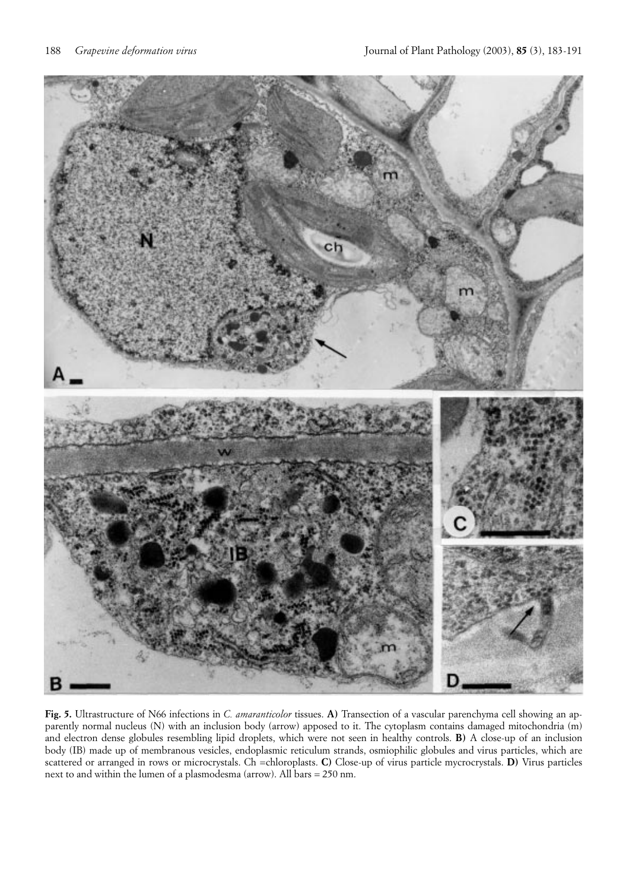

**Fig. 5.** Ultrastructure of N66 infections in *C. amaranticolor* tissues. **A)** Transection of a vascular parenchyma cell showing an apparently normal nucleus (N) with an inclusion body (arrow) apposed to it. The cytoplasm contains damaged mitochondria (m) and electron dense globules resembling lipid droplets, which were not seen in healthy controls. **B)** A close-up of an inclusion body (IB) made up of membranous vesicles, endoplasmic reticulum strands, osmiophilic globules and virus particles, which are scattered or arranged in rows or microcrystals. Ch =chloroplasts. **C)** Close-up of virus particle mycrocrystals. **D)** Virus particles next to and within the lumen of a plasmodesma (arrow). All bars = 250 nm.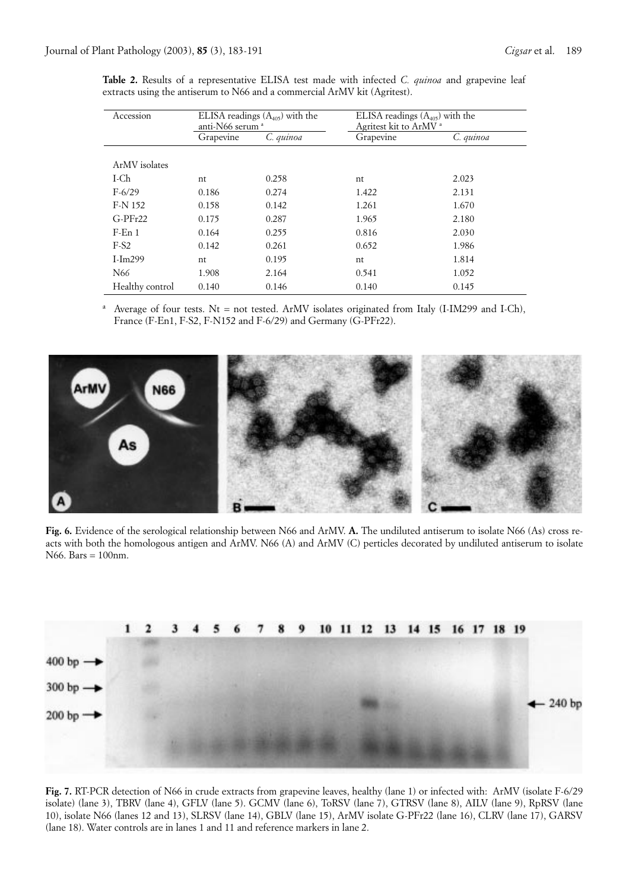| Accession       | ELISA readings $(A_{405})$ with the<br>anti-N66 serum <sup>a</sup> |           | ELISA readings $(A_{405})$ with the<br>Agritest kit to ArMV <sup>a</sup> |           |
|-----------------|--------------------------------------------------------------------|-----------|--------------------------------------------------------------------------|-----------|
|                 | Grapevine                                                          | C. quinoa | Grapevine                                                                | C. quinoa |
| ArMV isolates   |                                                                    |           |                                                                          |           |
|                 |                                                                    |           |                                                                          |           |
| I-Ch            | nt                                                                 | 0.258     | nt                                                                       | 2.023     |
| $F-6/29$        | 0.186                                                              | 0.274     | 1.422                                                                    | 2.131     |
| F-N 152         | 0.158                                                              | 0.142     | 1.261                                                                    | 1.670     |
| $G-PFr22$       | 0.175                                                              | 0.287     | 1.965                                                                    | 2.180     |
| $F$ -En 1       | 0.164                                                              | 0.255     | 0.816                                                                    | 2.030     |
| $F-S2$          | 0.142                                                              | 0.261     | 0.652                                                                    | 1.986     |
| $I-Im299$       | nt                                                                 | 0.195     | nt                                                                       | 1.814     |
| N <sub>66</sub> | 1.908                                                              | 2.164     | 0.541                                                                    | 1.052     |
| Healthy control | 0.140                                                              | 0.146     | 0.140                                                                    | 0.145     |

**Table 2.** Results of a representative ELISA test made with infected *C. quinoa* and grapevine leaf extracts using the antiserum to N66 and a commercial ArMV kit (Agritest).

<sup>a</sup> Average of four tests. Nt = not tested. ArMV isolates originated from Italy (I-IM299 and I-Ch), France (F-En1, F-S2, F-N152 and F-6/29) and Germany (G-PFr22).



**Fig. 6.** Evidence of the serological relationship between N66 and ArMV. **A.** The undiluted antiserum to isolate N66 (As) cross reacts with both the homologous antigen and ArMV. N66 (A) and ArMV (C) perticles decorated by undiluted antiserum to isolate N66. Bars = 100nm.



**Fig. 7.** RT-PCR detection of N66 in crude extracts from grapevine leaves, healthy (lane 1) or infected with: ArMV (isolate F-6/29 isolate) (lane 3), TBRV (lane 4), GFLV (lane 5). GCMV (lane 6), ToRSV (lane 7), GTRSV (lane 8), AILV (lane 9), RpRSV (lane 10), isolate N66 (lanes 12 and 13), SLRSV (lane 14), GBLV (lane 15), ArMV isolate G-PFr22 (lane 16), CLRV (lane 17), GARSV (lane 18). Water controls are in lanes 1 and 11 and reference markers in lane 2.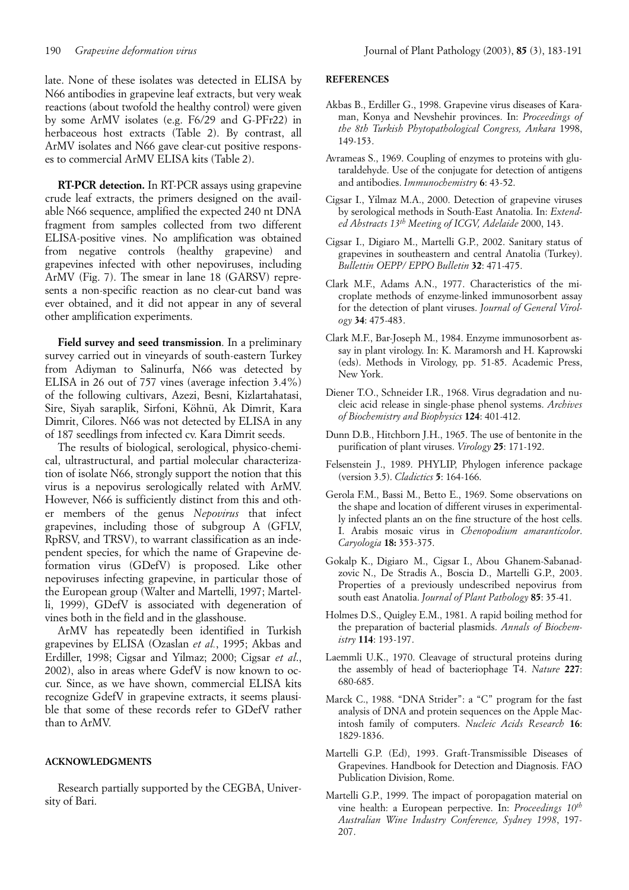late. None of these isolates was detected in ELISA by N66 antibodies in grapevine leaf extracts, but very weak reactions (about twofold the healthy control) were given by some ArMV isolates (e.g. F6/29 and G-PFr22) in herbaceous host extracts (Table 2). By contrast, all ArMV isolates and N66 gave clear-cut positive respons-

es to commercial ArMV ELISA kits (Table 2).

**RT-PCR detection.** In RT-PCR assays using grapevine crude leaf extracts, the primers designed on the available N66 sequence, amplified the expected 240 nt DNA fragment from samples collected from two different ELISA-positive vines. No amplification was obtained from negative controls (healthy grapevine) and grapevines infected with other nepoviruses, including ArMV (Fig. 7). The smear in lane 18 (GARSV) represents a non-specific reaction as no clear-cut band was ever obtained, and it did not appear in any of several other amplification experiments.

**Field survey and seed transmission**. In a preliminary survey carried out in vineyards of south-eastern Turkey from Adiyman to Salinurfa, N66 was detected by ELISA in 26 out of 757 vines (average infection 3.4%) of the following cultivars, Azezi, Besni, Kizlartahatasi, Sire, Siyah saraplik, Sirfoni, Köhnü, Ak Dimrit, Kara Dimrit, Cilores. N66 was not detected by ELISA in any of 187 seedlings from infected cv. Kara Dimrit seeds.

The results of biological, serological, physico-chemical, ultrastructural, and partial molecular characterization of isolate N66, strongly support the notion that this virus is a nepovirus serologically related with ArMV. However, N66 is sufficiently distinct from this and other members of the genus *Nepovirus* that infect grapevines, including those of subgroup A (GFLV, RpRSV, and TRSV), to warrant classification as an independent species, for which the name of Grapevine deformation virus (GDefV) is proposed. Like other nepoviruses infecting grapevine, in particular those of the European group (Walter and Martelli, 1997; Martelli, 1999), GDefV is associated with degeneration of vines both in the field and in the glasshouse.

ArMV has repeatedly been identified in Turkish grapevines by ELISA (Ozaslan *et al.*, 1995; Akbas and Erdiller, 1998; Cigsar and Yilmaz; 2000; Cigsar *et al*., 2002), also in areas where GdefV is now known to occur. Since, as we have shown, commercial ELISA kits recognize GdefV in grapevine extracts, it seems plausible that some of these records refer to GDefV rather than to ArMV.

## **ACKNOWLEDGMENTS**

Research partially supported by the CEGBA, University of Bari.

#### **REFERENCES**

- Akbas B., Erdiller G., 1998. Grapevine virus diseases of Karaman, Konya and Nevshehir provinces. In: *Proceedings of the 8th Turkish Phytopathological Congress, Ankara* 1998, 149-153.
- Avrameas S., 1969. Coupling of enzymes to proteins with glutaraldehyde. Use of the conjugate for detection of antigens and antibodies. *Immunochemistry* **6**: 43-52.
- Cigsar I., Yilmaz M.A., 2000. Detection of grapevine viruses by serological methods in South-East Anatolia. In: *Extended Abstracts 13th Meeting of ICGV, Adelaide* 2000, 143.
- Cigsar I., Digiaro M., Martelli G.P., 2002. Sanitary status of grapevines in southeastern and central Anatolia (Turkey). *Bullettin OEPP/ EPPO Bulletin* **32**: 471-475.
- Clark M.F., Adams A.N., 1977. Characteristics of the microplate methods of enzyme-linked immunosorbent assay for the detection of plant viruses. *Journal of General Virology* **34**: 475-483.
- Clark M.F., Bar-Joseph M., 1984. Enzyme immunosorbent assay in plant virology. In: K. Maramorsh and H. Kaprowski (eds). Methods in Virology, pp. 51-85. Academic Press, New York.
- Diener T.O., Schneider I.R., 1968. Virus degradation and nucleic acid release in single-phase phenol systems. *Archives of Biochemistry and Biophysics* **124**: 401-412.
- Dunn D.B., Hitchborn J.H., 1965. The use of bentonite in the purification of plant viruses. *Virology* **25**: 171-192.
- Felsenstein J., 1989. PHYLIP, Phylogen inference package (version 3.5). *Cladictics* **5**: 164-166.
- Gerola F.M., Bassi M., Betto E., 1969. Some observations on the shape and location of different viruses in experimentally infected plants an on the fine structure of the host cells. I. Arabis mosaic virus in *Chenopodium amaranticolor*. *Caryologia* **18:** 353-375.
- Gokalp K., Digiaro M., Cigsar I., Abou Ghanem-Sabanadzovic N., De Stradis A., Boscia D., Martelli G.P., 2003. Properties of a previously undescribed nepovirus from south east Anatolia. *Journal of Plant Pathology* **85**: 35-41.
- Holmes D.S., Quigley E.M., 1981. A rapid boiling method for the preparation of bacterial plasmids. *Annals of Biochemistry* **114**: 193-197.
- Laemmli U.K., 1970. Cleavage of structural proteins during the assembly of head of bacteriophage T4. *Nature* **227**: 680-685.
- Marck C., 1988. "DNA Strider": a "C" program for the fast analysis of DNA and protein sequences on the Apple Macintosh family of computers. *Nucleic Acids Research* **16**: 1829-1836.
- Martelli G.P. (Ed), 1993. Graft-Transmissible Diseases of Grapevines. Handbook for Detection and Diagnosis. FAO Publication Division, Rome.
- Martelli G.P., 1999. The impact of poropagation material on vine health: a European perpective. In: *Proceedings 10th Australian Wine Industry Conference, Sydney 1998*, 197- 207.